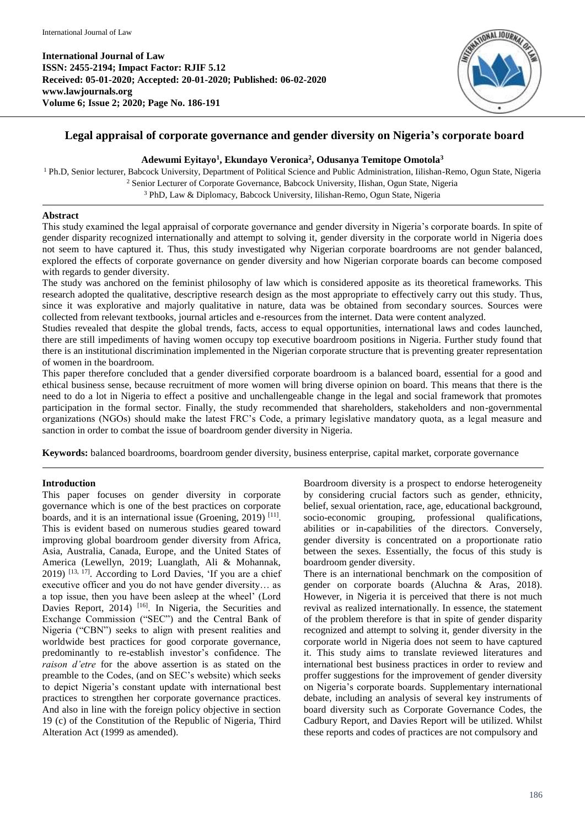

# **Legal appraisal of corporate governance and gender diversity on Nigeria's corporate board**

# **Adewumi Eyitayo<sup>1</sup> , Ekundayo Veronica<sup>2</sup> , Odusanya Temitope Omotola<sup>3</sup>**

<sup>1</sup> Ph.D, Senior lecturer, Babcock University, Department of Political Science and Public Administration, Iilishan-Remo, Ogun State, Nigeria <sup>2</sup> Senior Lecturer of Corporate Governance, Babcock University, IIishan, Ogun State, Nigeria <sup>3</sup> PhD, Law & Diplomacy, Babcock University, Iilishan-Remo, Ogun State, Nigeria

### **Abstract**

This study examined the legal appraisal of corporate governance and gender diversity in Nigeria's corporate boards. In spite of gender disparity recognized internationally and attempt to solving it, gender diversity in the corporate world in Nigeria does not seem to have captured it. Thus, this study investigated why Nigerian corporate boardrooms are not gender balanced, explored the effects of corporate governance on gender diversity and how Nigerian corporate boards can become composed with regards to gender diversity.

The study was anchored on the feminist philosophy of law which is considered apposite as its theoretical frameworks. This research adopted the qualitative, descriptive research design as the most appropriate to effectively carry out this study. Thus, since it was explorative and majorly qualitative in nature, data was be obtained from secondary sources. Sources were collected from relevant textbooks, journal articles and e-resources from the internet. Data were content analyzed.

Studies revealed that despite the global trends, facts, access to equal opportunities, international laws and codes launched, there are still impediments of having women occupy top executive boardroom positions in Nigeria. Further study found that there is an institutional discrimination implemented in the Nigerian corporate structure that is preventing greater representation of women in the boardroom.

This paper therefore concluded that a gender diversified corporate boardroom is a balanced board, essential for a good and ethical business sense, because recruitment of more women will bring diverse opinion on board. This means that there is the need to do a lot in Nigeria to effect a positive and unchallengeable change in the legal and social framework that promotes participation in the formal sector. Finally, the study recommended that shareholders, stakeholders and non-governmental organizations (NGOs) should make the latest FRC's Code, a primary legislative mandatory quota, as a legal measure and sanction in order to combat the issue of boardroom gender diversity in Nigeria.

**Keywords:** balanced boardrooms, boardroom gender diversity, business enterprise, capital market, corporate governance

## **Introduction**

This paper focuses on gender diversity in corporate governance which is one of the best practices on corporate boards, and it is an international issue (Groening, 2019)<sup>[11]</sup>. This is evident based on numerous studies geared toward improving global boardroom gender diversity from Africa, Asia, Australia, Canada, Europe, and the United States of America (Lewellyn, 2019; Luanglath, Ali & Mohannak,  $2019$ )  $[13, 17]$ . According to Lord Davies, 'If you are a chief executive officer and you do not have gender diversity… as a top issue, then you have been asleep at the wheel' (Lord Davies Report, 2014) <sup>[16]</sup>. In Nigeria, the Securities and Exchange Commission ("SEC") and the Central Bank of Nigeria ("CBN") seeks to align with present realities and worldwide best practices for good corporate governance, predominantly to re-establish investor's confidence. The *raison d'etre* for the above assertion is as stated on the preamble to the Codes, (and on SEC's website) which seeks to depict Nigeria's constant update with international best practices to strengthen her corporate governance practices. And also in line with the foreign policy objective in section 19 (c) of the Constitution of the Republic of Nigeria, Third Alteration Act (1999 as amended).

Boardroom diversity is a prospect to endorse heterogeneity by considering crucial factors such as gender, ethnicity, belief, sexual orientation, race, age, educational background, socio-economic grouping, professional qualifications, abilities or in-capabilities of the directors. Conversely, gender diversity is concentrated on a proportionate ratio between the sexes. Essentially, the focus of this study is boardroom gender diversity.

There is an international benchmark on the composition of gender on corporate boards (Aluchna & Aras, 2018). However, in Nigeria it is perceived that there is not much revival as realized internationally. In essence, the statement of the problem therefore is that in spite of gender disparity recognized and attempt to solving it, gender diversity in the corporate world in Nigeria does not seem to have captured it. This study aims to translate reviewed literatures and international best business practices in order to review and proffer suggestions for the improvement of gender diversity on Nigeria's corporate boards. Supplementary international debate, including an analysis of several key instruments of board diversity such as Corporate Governance Codes, the Cadbury Report, and Davies Report will be utilized. Whilst these reports and codes of practices are not compulsory and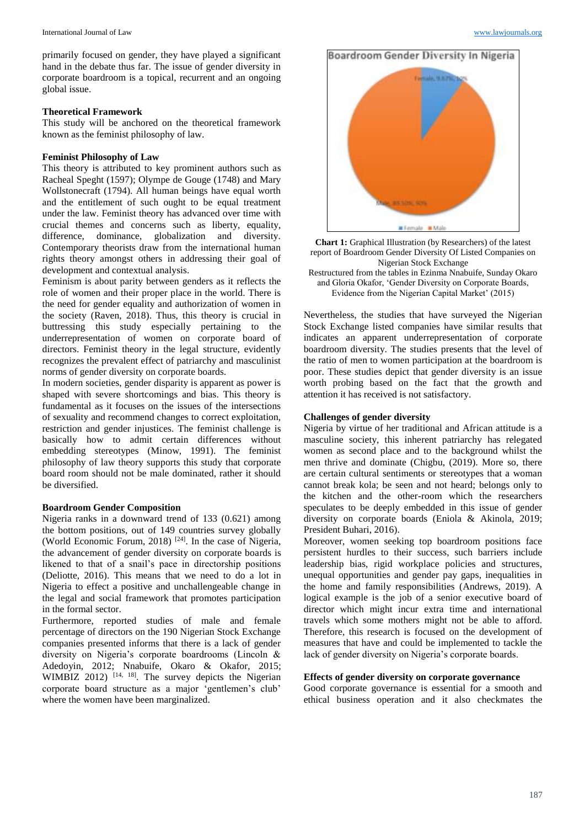primarily focused on gender, they have played a significant hand in the debate thus far. The issue of gender diversity in corporate boardroom is a topical, recurrent and an ongoing global issue.

### **Theoretical Framework**

This study will be anchored on the theoretical framework known as the feminist philosophy of law.

## **Feminist Philosophy of Law**

This theory is attributed to key prominent authors such as Racheal Speght (1597); Olympe de Gouge (1748) and Mary Wollstonecraft (1794). All human beings have equal worth and the entitlement of such ought to be equal treatment under the law. Feminist theory has advanced over time with crucial themes and concerns such as liberty, equality, difference, dominance, globalization and diversity. Contemporary theorists draw from the international human rights theory amongst others in addressing their goal of development and contextual analysis.

Feminism is about parity between genders as it reflects the role of women and their proper place in the world. There is the need for gender equality and authorization of women in the society (Raven, 2018). Thus, this theory is crucial in buttressing this study especially pertaining to the underrepresentation of women on corporate board of directors. Feminist theory in the legal structure, evidently recognizes the prevalent effect of patriarchy and masculinist norms of gender diversity on corporate boards.

In modern societies, gender disparity is apparent as power is shaped with severe shortcomings and bias. This theory is fundamental as it focuses on the issues of the intersections of sexuality and recommend changes to correct exploitation, restriction and gender injustices. The feminist challenge is basically how to admit certain differences without embedding stereotypes (Minow, 1991). The feminist philosophy of law theory supports this study that corporate board room should not be male dominated, rather it should be diversified.

#### **Boardroom Gender Composition**

Nigeria ranks in a downward trend of 133 (0.621) among the bottom positions, out of 149 countries survey globally (World Economic Forum, 2018) [24]. In the case of Nigeria, the advancement of gender diversity on corporate boards is likened to that of a snail's pace in directorship positions (Deliotte, 2016). This means that we need to do a lot in Nigeria to effect a positive and unchallengeable change in the legal and social framework that promotes participation in the formal sector.

Furthermore, reported studies of male and female percentage of directors on the 190 Nigerian Stock Exchange companies presented informs that there is a lack of gender diversity on Nigeria's corporate boardrooms (Lincoln & Adedoyin, 2012; Nnabuife, Okaro & Okafor, 2015; WIMBIZ 2012)<sup>[14, 18]</sup>. The survey depicts the Nigerian corporate board structure as a major 'gentlemen's club' where the women have been marginalized.





Restructured from the tables in Ezinma Nnabuife, Sunday Okaro and Gloria Okafor, 'Gender Diversity on Corporate Boards, Evidence from the Nigerian Capital Market' (2015)

Nevertheless, the studies that have surveyed the Nigerian Stock Exchange listed companies have similar results that indicates an apparent underrepresentation of corporate boardroom diversity. The studies presents that the level of the ratio of men to women participation at the boardroom is poor. These studies depict that gender diversity is an issue worth probing based on the fact that the growth and attention it has received is not satisfactory.

### **Challenges of gender diversity**

Nigeria by virtue of her traditional and African attitude is a masculine society, this inherent patriarchy has relegated women as second place and to the background whilst the men thrive and dominate (Chigbu, (2019). More so, there are certain cultural sentiments or stereotypes that a woman cannot break kola; be seen and not heard; belongs only to the kitchen and the other-room which the researchers speculates to be deeply embedded in this issue of gender diversity on corporate boards (Eniola & Akinola, 2019; President Buhari, 2016).

Moreover, women seeking top boardroom positions face persistent hurdles to their success, such barriers include leadership bias, rigid workplace policies and structures, unequal opportunities and gender pay gaps, inequalities in the home and family responsibilities (Andrews, 2019). A logical example is the job of a senior executive board of director which might incur extra time and international travels which some mothers might not be able to afford. Therefore, this research is focused on the development of measures that have and could be implemented to tackle the lack of gender diversity on Nigeria's corporate boards.

## **Effects of gender diversity on corporate governance**

Good corporate governance is essential for a smooth and ethical business operation and it also checkmates the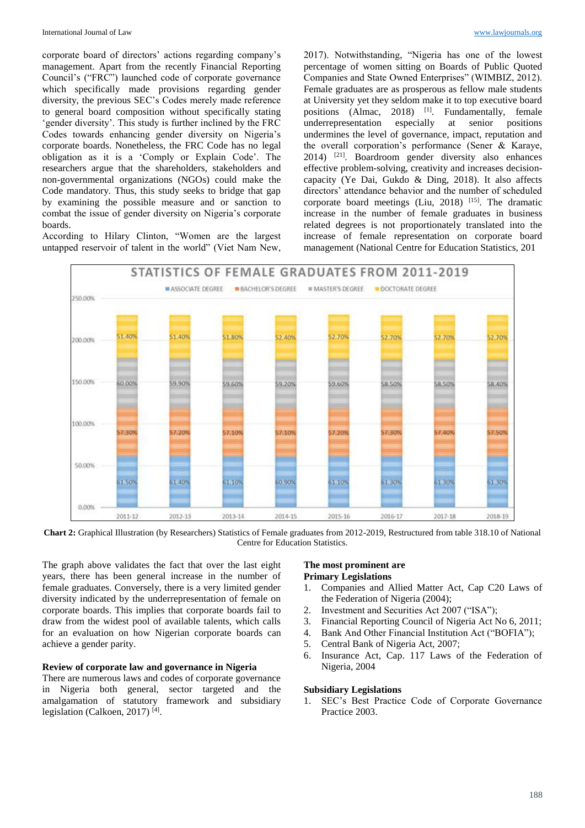corporate board of directors' actions regarding company's management. Apart from the recently Financial Reporting Council's ("FRC") launched code of corporate governance which specifically made provisions regarding gender diversity, the previous SEC's Codes merely made reference to general board composition without specifically stating 'gender diversity'. This study is further inclined by the FRC Codes towards enhancing gender diversity on Nigeria's corporate boards. Nonetheless, the FRC Code has no legal obligation as it is a 'Comply or Explain Code'. The researchers argue that the shareholders, stakeholders and non-governmental organizations (NGOs) could make the Code mandatory. Thus, this study seeks to bridge that gap by examining the possible measure and or sanction to combat the issue of gender diversity on Nigeria's corporate boards.

According to Hilary Clinton, "Women are the largest untapped reservoir of talent in the world" (Viet Nam New,

2017). Notwithstanding, "Nigeria has one of the lowest percentage of women sitting on Boards of Public Quoted Companies and State Owned Enterprises" (WIMBIZ, 2012). Female graduates are as prosperous as fellow male students at University yet they seldom make it to top executive board positions (Almac, 2018) <sup>[1]</sup>. Fundamentally, female underrepresentation especially at senior positions undermines the level of governance, impact, reputation and the overall corporation's performance (Sener & Karaye,  $2014$ ) <sup>[21]</sup>. Boardroom gender diversity also enhances effective problem-solving, creativity and increases decisioncapacity (Ye Dai, Gukdo & Ding, 2018). It also affects directors' attendance behavior and the number of scheduled corporate board meetings (Liu, 2018)  $[15]$ . The dramatic increase in the number of female graduates in business related degrees is not proportionately translated into the increase of female representation on corporate board management (National Centre for Education Statistics, 201



**Chart 2:** Graphical Illustration (by Researchers) Statistics of Female graduates from 2012-2019, Restructured from table 318.10 of National Centre for Education Statistics.

The graph above validates the fact that over the last eight years, there has been general increase in the number of female graduates. Conversely, there is a very limited gender diversity indicated by the underrepresentation of female on corporate boards. This implies that corporate boards fail to draw from the widest pool of available talents, which calls for an evaluation on how Nigerian corporate boards can achieve a gender parity.

#### **Review of corporate law and governance in Nigeria**

There are numerous laws and codes of corporate governance in Nigeria both general, sector targeted and the amalgamation of statutory framework and subsidiary legislation (Calkoen, 2017)<sup>[4]</sup>.

#### **The most prominent are Primary Legislations**

- 1. Companies and Allied Matter Act, Cap C20 Laws of the Federation of Nigeria (2004);
- 2. Investment and Securities Act 2007 ("ISA");
- 3. Financial Reporting Council of Nigeria Act No 6, 2011;
- 4. Bank And Other Financial Institution Act ("BOFIA");<br>5. Central Bank of Nigeria Act, 2007;
- 5. Central Bank of Nigeria Act, 2007;
- 6. Insurance Act, Cap. 117 Laws of the Federation of Nigeria, 2004

#### **Subsidiary Legislations**

1. SEC's Best Practice Code of Corporate Governance Practice 2003.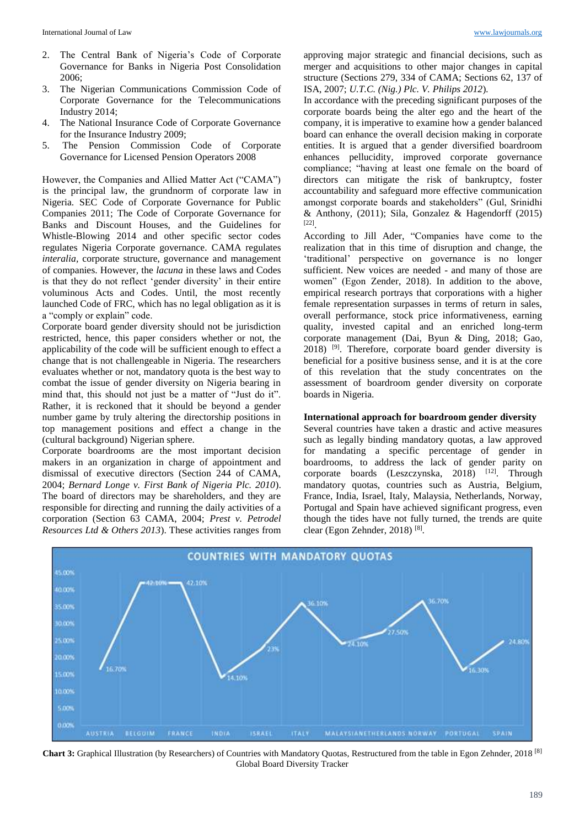- 2. The Central Bank of Nigeria's Code of Corporate Governance for Banks in Nigeria Post Consolidation 2006;
- 3. The Nigerian Communications Commission Code of Corporate Governance for the Telecommunications Industry 2014;
- 4. The National Insurance Code of Corporate Governance for the Insurance Industry 2009;
- 5. The Pension Commission Code of Corporate Governance for Licensed Pension Operators 2008

However, the Companies and Allied Matter Act ("CAMA") is the principal law, the grundnorm of corporate law in Nigeria. SEC Code of Corporate Governance for Public Companies 2011; The Code of Corporate Governance for Banks and Discount Houses, and the Guidelines for Whistle-Blowing 2014 and other specific sector codes regulates Nigeria Corporate governance. CAMA regulates *interalia,* corporate structure, governance and management of companies. However, the *lacuna* in these laws and Codes is that they do not reflect 'gender diversity' in their entire voluminous Acts and Codes. Until, the most recently launched Code of FRC, which has no legal obligation as it is a "comply or explain" code.

Corporate board gender diversity should not be jurisdiction restricted, hence, this paper considers whether or not, the applicability of the code will be sufficient enough to effect a change that is not challengeable in Nigeria. The researchers evaluates whether or not, mandatory quota is the best way to combat the issue of gender diversity on Nigeria bearing in mind that, this should not just be a matter of "Just do it". Rather, it is reckoned that it should be beyond a gender number game by truly altering the directorship positions in top management positions and effect a change in the (cultural background) Nigerian sphere.

Corporate boardrooms are the most important decision makers in an organization in charge of appointment and dismissal of executive directors (Section 244 of CAMA, 2004; *Bernard Longe v. First Bank of Nigeria Plc. 2010*). The board of directors may be shareholders, and they are responsible for directing and running the daily activities of a corporation (Section 63 CAMA, 2004; *Prest v. Petrodel Resources Ltd & Others 2013*). These activities ranges from approving major strategic and financial decisions, such as merger and acquisitions to other major changes in capital structure (Sections 279, 334 of CAMA; Sections 62, 137 of ISA, 2007; *U.T.C. (Nig.) Plc. V. Philips 2012*)*.*

In accordance with the preceding significant purposes of the corporate boards being the alter ego and the heart of the company, it is imperative to examine how a gender balanced board can enhance the overall decision making in corporate entities. It is argued that a gender diversified boardroom enhances pellucidity, improved corporate governance compliance; "having at least one female on the board of directors can mitigate the risk of bankruptcy, foster accountability and safeguard more effective communication amongst corporate boards and stakeholders" (Gul, Srinidhi & Anthony, (2011); Sila, Gonzalez & Hagendorff (2015) [22] .

According to Jill Ader, "Companies have come to the realization that in this time of disruption and change, the 'traditional' perspective on governance is no longer sufficient. New voices are needed - and many of those are women" (Egon Zender, 2018). In addition to the above, empirical research portrays that corporations with a higher female representation surpasses in terms of return in sales, overall performance, stock price informativeness, earning quality, invested capital and an enriched long-term corporate management (Dai, Byun & Ding, 2018; Gao, 2018) [9]. Therefore, corporate board gender diversity is beneficial for a positive business sense, and it is at the core of this revelation that the study concentrates on the assessment of boardroom gender diversity on corporate boards in Nigeria.

### **International approach for boardroom gender diversity**

Several countries have taken a drastic and active measures such as legally binding mandatory quotas, a law approved for mandating a specific percentage of gender in boardrooms, to address the lack of gender parity on corporate boards (Leszczynska, 2018) [12]. Through mandatory quotas, countries such as Austria, Belgium, France, India, Israel, Italy, Malaysia, Netherlands, Norway, Portugal and Spain have achieved significant progress, even though the tides have not fully turned, the trends are quite clear (Egon Zehnder, 2018)<sup>[8]</sup>.



**Chart 3:** Graphical Illustration (by Researchers) of Countries with Mandatory Quotas, Restructured from the table in Egon Zehnder, 2018 [8] Global Board Diversity Tracker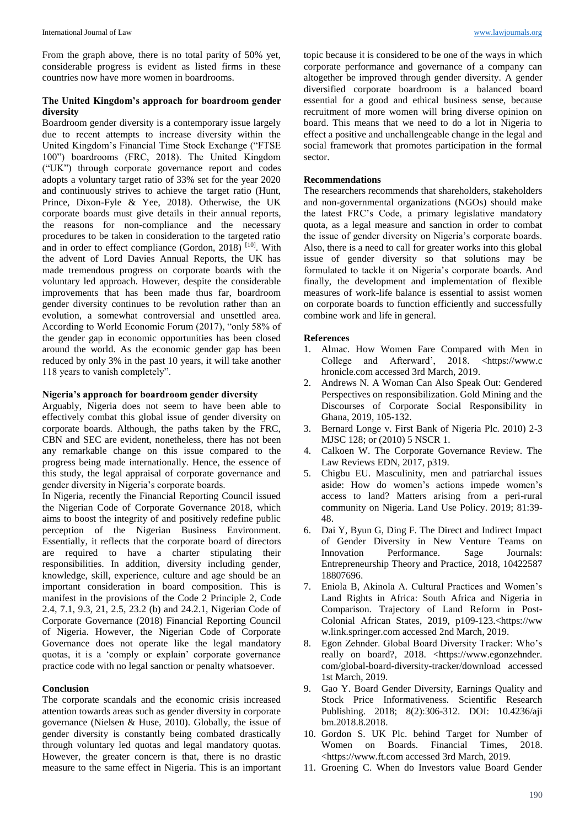From the graph above, there is no total parity of 50% yet, considerable progress is evident as listed firms in these countries now have more women in boardrooms.

## **The United Kingdom's approach for boardroom gender diversity**

Boardroom gender diversity is a contemporary issue largely due to recent attempts to increase diversity within the United Kingdom's Financial Time Stock Exchange ("FTSE 100") boardrooms (FRC, 2018). The United Kingdom ("UK") through corporate governance report and codes adopts a voluntary target ratio of 33% set for the year 2020 and continuously strives to achieve the target ratio (Hunt, Prince, Dixon-Fyle & Yee, 2018). Otherwise, the UK corporate boards must give details in their annual reports, the reasons for non-compliance and the necessary procedures to be taken in consideration to the targeted ratio and in order to effect compliance (Gordon, 2018) [10]. With the advent of Lord Davies Annual Reports, the UK has made tremendous progress on corporate boards with the voluntary led approach. However, despite the considerable improvements that has been made thus far, boardroom gender diversity continues to be revolution rather than an evolution, a somewhat controversial and unsettled area. According to World Economic Forum (2017), "only 58% of the gender gap in economic opportunities has been closed around the world. As the economic gender gap has been reduced by only 3% in the past 10 years, it will take another 118 years to vanish completely".

### **Nigeria's approach for boardroom gender diversity**

Arguably, Nigeria does not seem to have been able to effectively combat this global issue of gender diversity on corporate boards. Although, the paths taken by the FRC, CBN and SEC are evident, nonetheless, there has not been any remarkable change on this issue compared to the progress being made internationally. Hence, the essence of this study, the legal appraisal of corporate governance and gender diversity in Nigeria's corporate boards.

In Nigeria, recently the Financial Reporting Council issued the Nigerian Code of Corporate Governance 2018, which aims to boost the integrity of and positively redefine public perception of the Nigerian Business Environment. Essentially, it reflects that the corporate board of directors are required to have a charter stipulating their responsibilities. In addition, diversity including gender, knowledge, skill, experience, culture and age should be an important consideration in board composition. This is manifest in the provisions of the Code 2 Principle 2, Code 2.4, 7.1, 9.3, 21, 2.5, 23.2 (b) and 24.2.1, Nigerian Code of Corporate Governance (2018) Financial Reporting Council of Nigeria. However, the Nigerian Code of Corporate Governance does not operate like the legal mandatory quotas, it is a 'comply or explain' corporate governance practice code with no legal sanction or penalty whatsoever.

#### **Conclusion**

The corporate scandals and the economic crisis increased attention towards areas such as gender diversity in corporate governance (Nielsen & Huse, 2010). Globally, the issue of gender diversity is constantly being combated drastically through voluntary led quotas and legal mandatory quotas. However, the greater concern is that, there is no drastic measure to the same effect in Nigeria. This is an important

topic because it is considered to be one of the ways in which corporate performance and governance of a company can altogether be improved through gender diversity. A gender diversified corporate boardroom is a balanced board essential for a good and ethical business sense, because recruitment of more women will bring diverse opinion on board. This means that we need to do a lot in Nigeria to effect a positive and unchallengeable change in the legal and social framework that promotes participation in the formal sector.

### **Recommendations**

The researchers recommends that shareholders, stakeholders and non-governmental organizations (NGOs) should make the latest FRC's Code, a primary legislative mandatory quota, as a legal measure and sanction in order to combat the issue of gender diversity on Nigeria's corporate boards. Also, there is a need to call for greater works into this global issue of gender diversity so that solutions may be formulated to tackle it on Nigeria's corporate boards. And finally, the development and implementation of flexible measures of work-life balance is essential to assist women on corporate boards to function efficiently and successfully combine work and life in general.

### **References**

- 1. Almac. How Women Fare Compared with Men in College and Afterward', 2018. <https://www.c hronicle.com accessed 3rd March, 2019.
- 2. Andrews N. A Woman Can Also Speak Out: Gendered Perspectives on responsibilization. Gold Mining and the Discourses of Corporate Social Responsibility in Ghana, 2019, 105-132.
- 3. Bernard Longe v. First Bank of Nigeria Plc. 2010) 2-3 MJSC 128; or (2010) 5 NSCR 1.
- 4. Calkoen W. The Corporate Governance Review. The Law Reviews EDN, 2017, p319.
- 5. Chigbu EU. Masculinity, men and patriarchal issues aside: How do women's actions impede women's access to land? Matters arising from a peri-rural community on Nigeria. Land Use Policy. 2019; 81:39- 48.
- 6. Dai Y, Byun G, Ding F. The Direct and Indirect Impact of Gender Diversity in New Venture Teams on Innovation Performance. Sage Journals: Entrepreneurship Theory and Practice, 2018, 10422587 18807696.
- 7. Eniola B, Akinola A. Cultural Practices and Women's Land Rights in Africa: South Africa and Nigeria in Comparison. Trajectory of Land Reform in Post-Colonial African States, 2019, p109-123.<https://ww w.link.springer.com accessed 2nd March, 2019.
- 8. Egon Zehnder. Global Board Diversity Tracker: Who's really on board?, 2018. <https://www.egonzehnder. com/global-board-diversity-tracker/download accessed 1st March, 2019.
- 9. Gao Y. Board Gender Diversity, Earnings Quality and Stock Price Informativeness. Scientific Research Publishing. 2018; 8(2):306-312. DOI: 10.4236/aji bm.2018.8.2018.
- 10. Gordon S. UK Plc. behind Target for Number of Women on Boards. Financial Times, 2018. <https://www.ft.com accessed 3rd March, 2019.
- 11. Groening C. When do Investors value Board Gender